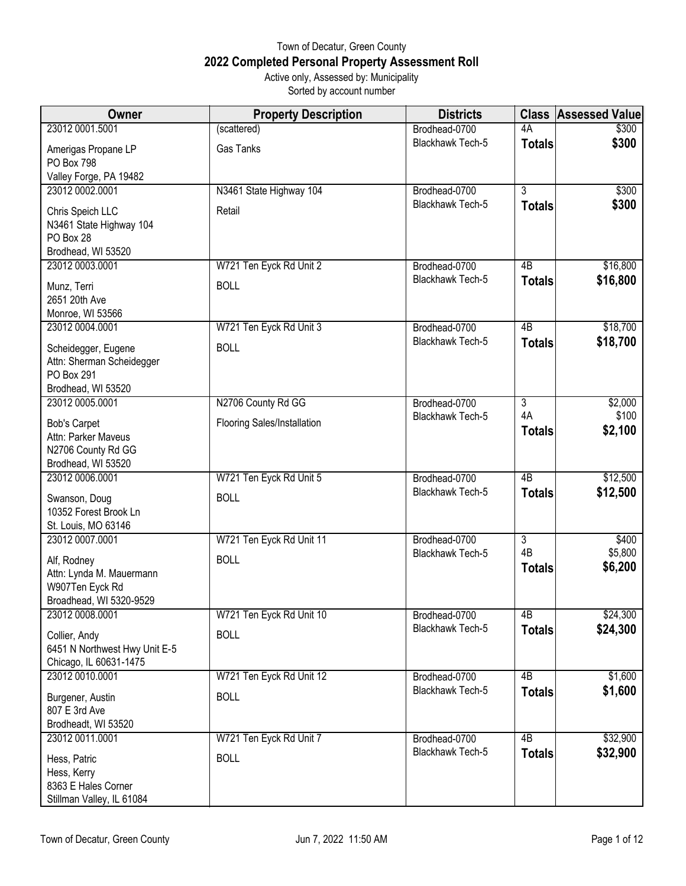## Town of Decatur, Green County **2022 Completed Personal Property Assessment Roll** Active only, Assessed by: Municipality

Sorted by account number

| <b>Owner</b>                                                                           | <b>Property Description</b> | <b>Districts</b>        | <b>Class</b>        | <b>Assessed Value</b> |
|----------------------------------------------------------------------------------------|-----------------------------|-------------------------|---------------------|-----------------------|
| 23012 0001.5001                                                                        | (scattered)                 | Brodhead-0700           | 4A                  | \$300                 |
| Amerigas Propane LP<br>PO Box 798                                                      | Gas Tanks                   | Blackhawk Tech-5        | <b>Totals</b>       | \$300                 |
| Valley Forge, PA 19482                                                                 |                             |                         |                     |                       |
| 23012 0002.0001                                                                        | N3461 State Highway 104     | Brodhead-0700           | $\overline{3}$      | \$300                 |
| Chris Speich LLC<br>N3461 State Highway 104<br>PO Box 28<br>Brodhead, WI 53520         | Retail                      | Blackhawk Tech-5        | <b>Totals</b>       | \$300                 |
| 23012 0003.0001                                                                        | W721 Ten Eyck Rd Unit 2     | Brodhead-0700           | 4B                  | \$16,800              |
| Munz, Terri<br>2651 20th Ave<br>Monroe, WI 53566                                       | <b>BOLL</b>                 | Blackhawk Tech-5        | <b>Totals</b>       | \$16,800              |
| 23012 0004.0001                                                                        | W721 Ten Eyck Rd Unit 3     | Brodhead-0700           | 4B                  | \$18,700              |
| Scheidegger, Eugene<br>Attn: Sherman Scheidegger<br>PO Box 291<br>Brodhead, WI 53520   | <b>BOLL</b>                 | Blackhawk Tech-5        | <b>Totals</b>       | \$18,700              |
| 23012 0005.0001                                                                        | N2706 County Rd GG          | Brodhead-0700           | $\overline{3}$      | \$2,000               |
| <b>Bob's Carpet</b><br>Attn: Parker Maveus<br>N2706 County Rd GG<br>Brodhead, WI 53520 | Flooring Sales/Installation | <b>Blackhawk Tech-5</b> | 4A<br><b>Totals</b> | \$100<br>\$2,100      |
| 23012 0006.0001                                                                        | W721 Ten Eyck Rd Unit 5     | Brodhead-0700           | 4B                  | \$12,500              |
| Swanson, Doug<br>10352 Forest Brook Ln<br>St. Louis, MO 63146                          | <b>BOLL</b>                 | Blackhawk Tech-5        | <b>Totals</b>       | \$12,500              |
| 23012 0007.0001                                                                        | W721 Ten Eyck Rd Unit 11    | Brodhead-0700           | $\overline{3}$      | \$400                 |
| Alf, Rodney<br>Attn: Lynda M. Mauermann<br>W907Ten Eyck Rd<br>Broadhead, WI 5320-9529  | <b>BOLL</b>                 | Blackhawk Tech-5        | 4B<br><b>Totals</b> | \$5,800<br>\$6,200    |
| 23012 0008 0001                                                                        | W721 Ten Eyck Rd Unit 10    | Brodhead-0700           | 4B                  | \$24,300              |
| Collier, Andy<br>6451 N Northwest Hwy Unit E-5<br>Chicago, IL 60631-1475               | <b>BOLL</b>                 | Blackhawk Tech-5        | <b>Totals</b>       | \$24,300              |
| 23012 0010.0001                                                                        | W721 Ten Eyck Rd Unit 12    | Brodhead-0700           | 4B                  | \$1,600               |
| Burgener, Austin<br>807 E 3rd Ave<br>Brodheadt, WI 53520                               | <b>BOLL</b>                 | <b>Blackhawk Tech-5</b> | <b>Totals</b>       | \$1,600               |
| 23012 0011.0001                                                                        | W721 Ten Eyck Rd Unit 7     | Brodhead-0700           | 4B                  | \$32,900              |
| Hess, Patric<br>Hess, Kerry<br>8363 E Hales Corner<br>Stillman Valley, IL 61084        | <b>BOLL</b>                 | Blackhawk Tech-5        | <b>Totals</b>       | \$32,900              |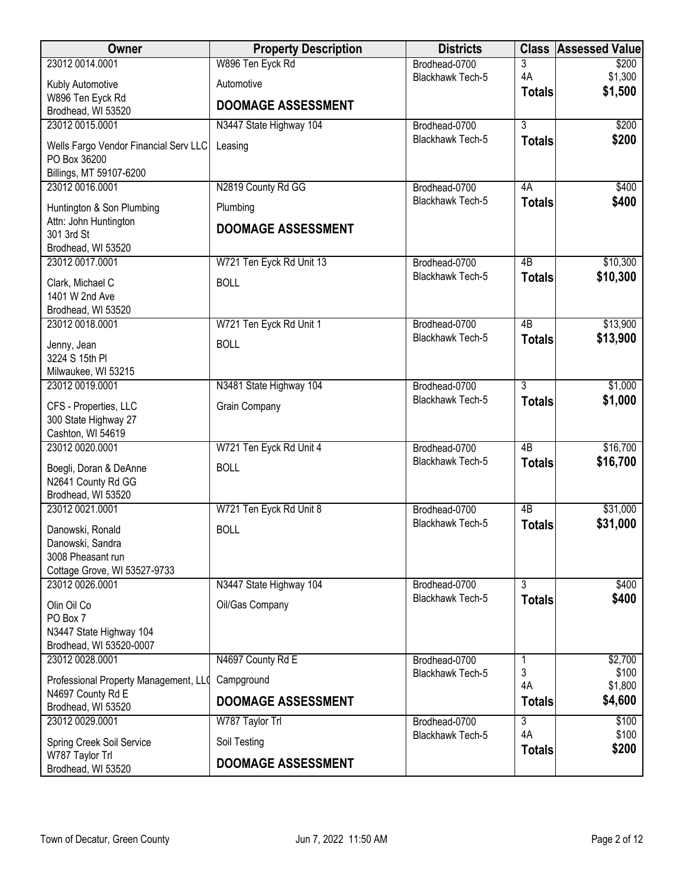| Owner                                      | <b>Property Description</b> | <b>Districts</b>        | <b>Class</b>    | <b>Assessed Value</b> |
|--------------------------------------------|-----------------------------|-------------------------|-----------------|-----------------------|
| 23012 0014.0001                            | W896 Ten Eyck Rd            | Brodhead-0700           | 3               | \$200                 |
| Kubly Automotive                           | Automotive                  | Blackhawk Tech-5        | 4A              | \$1,300               |
| W896 Ten Eyck Rd                           | <b>DOOMAGE ASSESSMENT</b>   |                         | <b>Totals</b>   | \$1,500               |
| Brodhead, WI 53520                         |                             |                         |                 |                       |
| 23012 0015.0001                            | N3447 State Highway 104     | Brodhead-0700           | $\overline{3}$  | \$200                 |
| Wells Fargo Vendor Financial Serv LLC      | Leasing                     | Blackhawk Tech-5        | <b>Totals</b>   | \$200                 |
| PO Box 36200                               |                             |                         |                 |                       |
| Billings, MT 59107-6200<br>23012 0016 0001 | N2819 County Rd GG          | Brodhead-0700           | 4A              | \$400                 |
|                                            |                             | Blackhawk Tech-5        | <b>Totals</b>   | \$400                 |
| Huntington & Son Plumbing                  | Plumbing                    |                         |                 |                       |
| Attn: John Huntington<br>301 3rd St        | <b>DOOMAGE ASSESSMENT</b>   |                         |                 |                       |
| Brodhead, WI 53520                         |                             |                         |                 |                       |
| 23012 0017.0001                            | W721 Ten Eyck Rd Unit 13    | Brodhead-0700           | $\overline{AB}$ | \$10,300              |
| Clark, Michael C                           | <b>BOLL</b>                 | <b>Blackhawk Tech-5</b> | <b>Totals</b>   | \$10,300              |
| 1401 W 2nd Ave                             |                             |                         |                 |                       |
| Brodhead, WI 53520                         |                             |                         |                 |                       |
| 23012 0018.0001                            | W721 Ten Eyck Rd Unit 1     | Brodhead-0700           | $\overline{AB}$ | \$13,900              |
| Jenny, Jean                                | <b>BOLL</b>                 | Blackhawk Tech-5        | <b>Totals</b>   | \$13,900              |
| 3224 S 15th PI                             |                             |                         |                 |                       |
| Milwaukee, WI 53215                        |                             |                         |                 |                       |
| 23012 0019.0001                            | N3481 State Highway 104     | Brodhead-0700           | $\overline{3}$  | \$1,000               |
| CFS - Properties, LLC                      | Grain Company               | Blackhawk Tech-5        | <b>Totals</b>   | \$1,000               |
| 300 State Highway 27                       |                             |                         |                 |                       |
| Cashton, WI 54619<br>23012 0020.0001       | W721 Ten Eyck Rd Unit 4     | Brodhead-0700           | $\overline{AB}$ | \$16,700              |
|                                            |                             | Blackhawk Tech-5        | <b>Totals</b>   | \$16,700              |
| Boegli, Doran & DeAnne                     | <b>BOLL</b>                 |                         |                 |                       |
| N2641 County Rd GG<br>Brodhead, WI 53520   |                             |                         |                 |                       |
| 23012 0021.0001                            | W721 Ten Eyck Rd Unit 8     | Brodhead-0700           | 4B              | \$31,000              |
| Danowski, Ronald                           | <b>BOLL</b>                 | Blackhawk Tech-5        | <b>Totals</b>   | \$31,000              |
| Danowski, Sandra                           |                             |                         |                 |                       |
| 3008 Pheasant run                          |                             |                         |                 |                       |
| Cottage Grove, WI 53527-9733               |                             |                         |                 |                       |
| 23012 0026 0001                            | N3447 State Highway 104     | Brodhead-0700           | 3               | \$400                 |
| Olin Oil Co                                | Oil/Gas Company             | Blackhawk Tech-5        | <b>Totals</b>   | \$400                 |
| PO Box 7                                   |                             |                         |                 |                       |
| N3447 State Highway 104                    |                             |                         |                 |                       |
| Brodhead, WI 53520-0007<br>23012 0028.0001 | N4697 County Rd E           | Brodhead-0700           | 1               | \$2,700               |
|                                            |                             | Blackhawk Tech-5        | 3               | \$100                 |
| Professional Property Management, LLO      | Campground                  |                         | 4A              | \$1,800               |
| N4697 County Rd E<br>Brodhead, WI 53520    | <b>DOOMAGE ASSESSMENT</b>   |                         | <b>Totals</b>   | \$4,600               |
| 23012 0029.0001                            | W787 Taylor Trl             | Brodhead-0700           | $\overline{3}$  | \$100                 |
| Spring Creek Soil Service                  | Soil Testing                | Blackhawk Tech-5        | 4A              | \$100                 |
| W787 Taylor Trl                            |                             |                         | <b>Totals</b>   | \$200                 |
| Brodhead, WI 53520                         | <b>DOOMAGE ASSESSMENT</b>   |                         |                 |                       |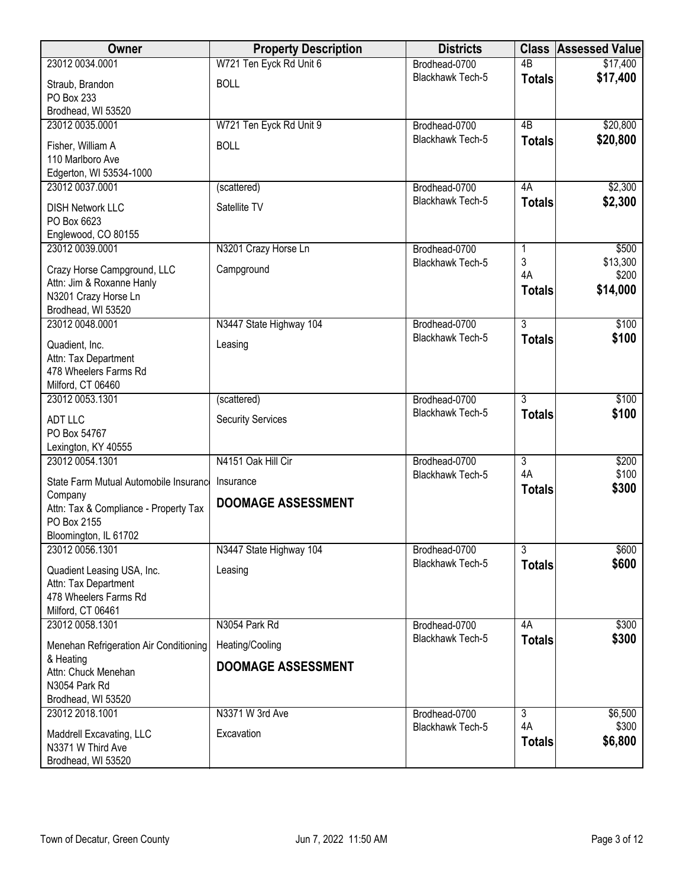| Owner                                            | <b>Property Description</b> | <b>Districts</b>                  | <b>Class</b>    | <b>Assessed Value</b> |
|--------------------------------------------------|-----------------------------|-----------------------------------|-----------------|-----------------------|
| 23012 0034.0001                                  | W721 Ten Eyck Rd Unit 6     | Brodhead-0700                     | $\overline{AB}$ | \$17,400              |
| Straub, Brandon                                  | <b>BOLL</b>                 | Blackhawk Tech-5                  | <b>Totals</b>   | \$17,400              |
| PO Box 233                                       |                             |                                   |                 |                       |
| Brodhead, WI 53520                               |                             |                                   |                 |                       |
| 23012 0035.0001                                  | W721 Ten Eyck Rd Unit 9     | Brodhead-0700                     | 4B              | \$20,800              |
| Fisher, William A                                | <b>BOLL</b>                 | Blackhawk Tech-5                  | <b>Totals</b>   | \$20,800              |
| 110 Marlboro Ave                                 |                             |                                   |                 |                       |
| Edgerton, WI 53534-1000                          |                             |                                   |                 |                       |
| 23012 0037.0001                                  | (scattered)                 | Brodhead-0700                     | 4A              | \$2,300               |
| <b>DISH Network LLC</b>                          | Satellite TV                | Blackhawk Tech-5                  | <b>Totals</b>   | \$2,300               |
| PO Box 6623                                      |                             |                                   |                 |                       |
| Englewood, CO 80155                              |                             |                                   |                 |                       |
| 23012 0039.0001                                  | N3201 Crazy Horse Ln        | Brodhead-0700                     | 1<br>3          | \$500<br>\$13,300     |
| Crazy Horse Campground, LLC                      | Campground                  | Blackhawk Tech-5                  | 4A              | \$200                 |
| Attn: Jim & Roxanne Hanly                        |                             |                                   | <b>Totals</b>   | \$14,000              |
| N3201 Crazy Horse Ln                             |                             |                                   |                 |                       |
| Brodhead, WI 53520<br>23012 0048 0001            | N3447 State Highway 104     | Brodhead-0700                     | $\overline{3}$  | \$100                 |
|                                                  |                             | <b>Blackhawk Tech-5</b>           | <b>Totals</b>   | \$100                 |
| Quadient, Inc.                                   | Leasing                     |                                   |                 |                       |
| Attn: Tax Department                             |                             |                                   |                 |                       |
| 478 Wheelers Farms Rd<br>Milford, CT 06460       |                             |                                   |                 |                       |
| 23012 0053.1301                                  | (scattered)                 | Brodhead-0700                     | $\overline{3}$  | \$100                 |
|                                                  |                             | Blackhawk Tech-5                  | <b>Totals</b>   | \$100                 |
| <b>ADT LLC</b><br>PO Box 54767                   | <b>Security Services</b>    |                                   |                 |                       |
| Lexington, KY 40555                              |                             |                                   |                 |                       |
| 23012 0054.1301                                  | N4151 Oak Hill Cir          | Brodhead-0700                     | $\overline{3}$  | \$200                 |
|                                                  |                             | Blackhawk Tech-5                  | 4A              | \$100                 |
| State Farm Mutual Automobile Insurance           | Insurance                   |                                   | <b>Totals</b>   | \$300                 |
| Company<br>Attn: Tax & Compliance - Property Tax | <b>DOOMAGE ASSESSMENT</b>   |                                   |                 |                       |
| PO Box 2155                                      |                             |                                   |                 |                       |
| Bloomington, IL 61702                            |                             |                                   |                 |                       |
| 23012 0056.1301                                  | N3447 State Highway 104     | Brodhead-0700                     | $\overline{3}$  | \$600                 |
| Quadient Leasing USA, Inc.                       | Leasing                     | Blackhawk Tech-5                  | <b>Totals</b>   | \$600                 |
| Attn: Tax Department                             |                             |                                   |                 |                       |
| 478 Wheelers Farms Rd                            |                             |                                   |                 |                       |
| Milford, CT 06461                                |                             |                                   |                 |                       |
| 23012 0058.1301                                  | N3054 Park Rd               | Brodhead-0700                     | 4A              | \$300                 |
| Menehan Refrigeration Air Conditioning           | Heating/Cooling             | Blackhawk Tech-5                  | <b>Totals</b>   | \$300                 |
| & Heating                                        |                             |                                   |                 |                       |
| Attn: Chuck Menehan                              | <b>DOOMAGE ASSESSMENT</b>   |                                   |                 |                       |
| N3054 Park Rd                                    |                             |                                   |                 |                       |
| Brodhead, WI 53520                               |                             |                                   |                 |                       |
| 23012 2018.1001                                  | N3371 W 3rd Ave             | Brodhead-0700<br>Blackhawk Tech-5 | 3<br>4A         | \$6,500<br>\$300      |
| Maddrell Excavating, LLC                         | Excavation                  |                                   | <b>Totals</b>   | \$6,800               |
| N3371 W Third Ave                                |                             |                                   |                 |                       |
| Brodhead, WI 53520                               |                             |                                   |                 |                       |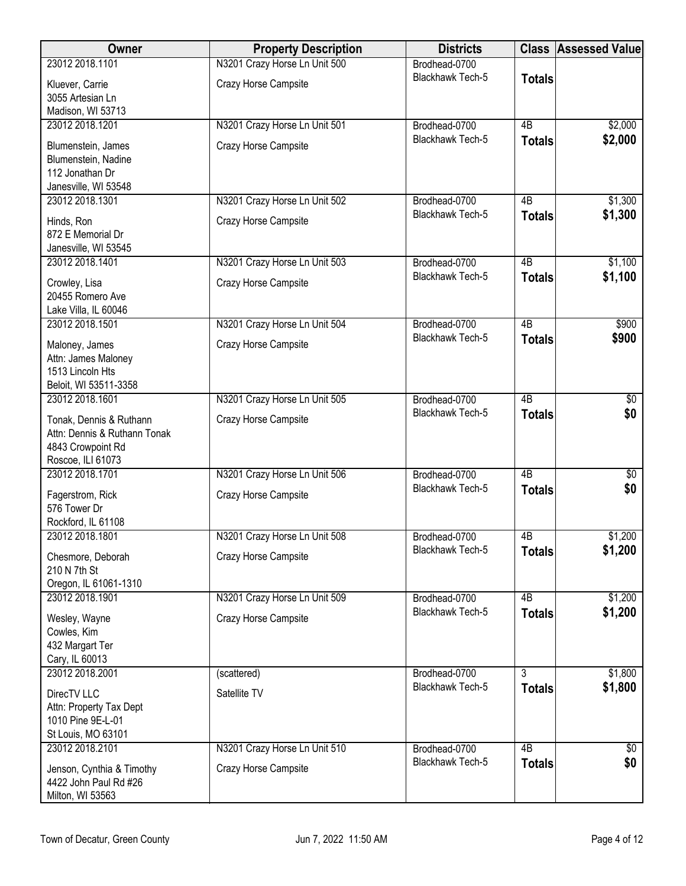| Owner                                    | <b>Property Description</b>   | <b>Districts</b>                         | <b>Class</b>    | Assessed Value         |
|------------------------------------------|-------------------------------|------------------------------------------|-----------------|------------------------|
| 23012 2018.1101                          | N3201 Crazy Horse Ln Unit 500 | Brodhead-0700                            |                 |                        |
| Kluever, Carrie                          | Crazy Horse Campsite          | Blackhawk Tech-5                         | <b>Totals</b>   |                        |
| 3055 Artesian Ln                         |                               |                                          |                 |                        |
| Madison, WI 53713                        |                               |                                          |                 |                        |
| 23012 2018.1201                          | N3201 Crazy Horse Ln Unit 501 | Brodhead-0700                            | $\overline{AB}$ | \$2,000                |
| Blumenstein, James                       | Crazy Horse Campsite          | Blackhawk Tech-5                         | <b>Totals</b>   | \$2,000                |
| Blumenstein, Nadine                      |                               |                                          |                 |                        |
| 112 Jonathan Dr                          |                               |                                          |                 |                        |
| Janesville, WI 53548                     |                               |                                          |                 |                        |
| 23012 2018.1301                          | N3201 Crazy Horse Ln Unit 502 | Brodhead-0700<br>Blackhawk Tech-5        | 4B              | \$1,300                |
| Hinds, Ron                               | Crazy Horse Campsite          |                                          | <b>Totals</b>   | \$1,300                |
| 872 E Memorial Dr                        |                               |                                          |                 |                        |
| Janesville, WI 53545                     |                               |                                          |                 |                        |
| 23012 2018.1401                          | N3201 Crazy Horse Ln Unit 503 | Brodhead-0700<br><b>Blackhawk Tech-5</b> | 4B              | \$1,100                |
| Crowley, Lisa                            | Crazy Horse Campsite          |                                          | <b>Totals</b>   | \$1,100                |
| 20455 Romero Ave                         |                               |                                          |                 |                        |
| Lake Villa, IL 60046                     |                               |                                          |                 |                        |
| 23012 2018.1501                          | N3201 Crazy Horse Ln Unit 504 | Brodhead-0700<br>Blackhawk Tech-5        | $\overline{AB}$ | \$900                  |
| Maloney, James                           | Crazy Horse Campsite          |                                          | <b>Totals</b>   | \$900                  |
| Attn: James Maloney                      |                               |                                          |                 |                        |
| 1513 Lincoln Hts                         |                               |                                          |                 |                        |
| Beloit, WI 53511-3358<br>23012 2018.1601 |                               |                                          | $\overline{AB}$ |                        |
|                                          | N3201 Crazy Horse Ln Unit 505 | Brodhead-0700<br>Blackhawk Tech-5        |                 | $\overline{50}$<br>\$0 |
| Tonak, Dennis & Ruthann                  | Crazy Horse Campsite          |                                          | <b>Totals</b>   |                        |
| Attn: Dennis & Ruthann Tonak             |                               |                                          |                 |                        |
| 4843 Crowpoint Rd<br>Roscoe, ILI 61073   |                               |                                          |                 |                        |
| 23012 2018.1701                          | N3201 Crazy Horse Ln Unit 506 | Brodhead-0700                            | $\overline{AB}$ | $\sqrt[6]{}$           |
|                                          |                               | Blackhawk Tech-5                         | <b>Totals</b>   | \$0                    |
| Fagerstrom, Rick                         | Crazy Horse Campsite          |                                          |                 |                        |
| 576 Tower Dr<br>Rockford, IL 61108       |                               |                                          |                 |                        |
| 23012 2018.1801                          | N3201 Crazy Horse Ln Unit 508 | Brodhead-0700                            | 4B              | \$1,200                |
|                                          |                               | Blackhawk Tech-5                         | <b>Totals</b>   | \$1,200                |
| Chesmore, Deborah<br>210 N 7th St        | Crazy Horse Campsite          |                                          |                 |                        |
| Oregon, IL 61061-1310                    |                               |                                          |                 |                        |
| 23012 2018.1901                          | N3201 Crazy Horse Ln Unit 509 | Brodhead-0700                            | 4 <sub>B</sub>  | \$1,200                |
|                                          |                               | Blackhawk Tech-5                         | <b>Totals</b>   | \$1,200                |
| Wesley, Wayne<br>Cowles, Kim             | Crazy Horse Campsite          |                                          |                 |                        |
| 432 Margart Ter                          |                               |                                          |                 |                        |
| Cary, IL 60013                           |                               |                                          |                 |                        |
| 23012 2018.2001                          | (scattered)                   | Brodhead-0700                            | 3               | \$1,800                |
| DirecTV LLC                              | Satellite TV                  | Blackhawk Tech-5                         | <b>Totals</b>   | \$1,800                |
| Attn: Property Tax Dept                  |                               |                                          |                 |                        |
| 1010 Pine 9E-L-01                        |                               |                                          |                 |                        |
| St Louis, MO 63101                       |                               |                                          |                 |                        |
| 23012 2018.2101                          | N3201 Crazy Horse Ln Unit 510 | Brodhead-0700                            | $\overline{AB}$ | $\overline{60}$        |
| Jenson, Cynthia & Timothy                | Crazy Horse Campsite          | Blackhawk Tech-5                         | <b>Totals</b>   | \$0                    |
| 4422 John Paul Rd #26                    |                               |                                          |                 |                        |
| Milton, WI 53563                         |                               |                                          |                 |                        |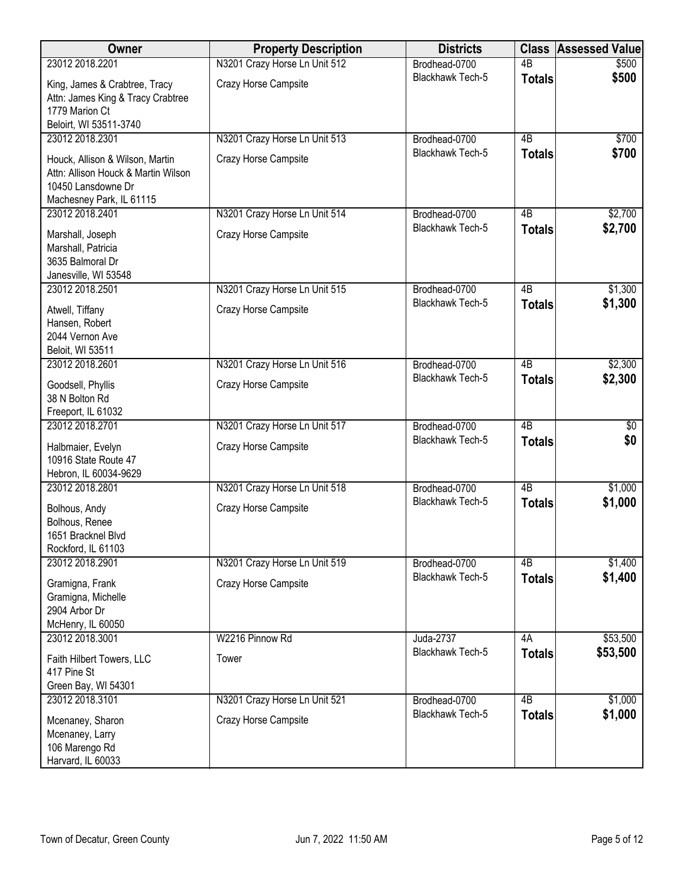| Owner                                    | <b>Property Description</b>   | <b>Districts</b>        | <b>Class</b>    | <b>Assessed Value</b> |
|------------------------------------------|-------------------------------|-------------------------|-----------------|-----------------------|
| 23012 2018.2201                          | N3201 Crazy Horse Ln Unit 512 | Brodhead-0700           | $\overline{AB}$ | \$500                 |
| King, James & Crabtree, Tracy            | Crazy Horse Campsite          | <b>Blackhawk Tech-5</b> | <b>Totals</b>   | \$500                 |
| Attn: James King & Tracy Crabtree        |                               |                         |                 |                       |
| 1779 Marion Ct                           |                               |                         |                 |                       |
| Beloirt, WI 53511-3740                   |                               |                         |                 |                       |
| 23012 2018.2301                          | N3201 Crazy Horse Ln Unit 513 | Brodhead-0700           | $\overline{AB}$ | \$700                 |
| Houck, Allison & Wilson, Martin          | Crazy Horse Campsite          | Blackhawk Tech-5        | <b>Totals</b>   | \$700                 |
| Attn: Allison Houck & Martin Wilson      |                               |                         |                 |                       |
| 10450 Lansdowne Dr                       |                               |                         |                 |                       |
| Machesney Park, IL 61115                 |                               |                         |                 |                       |
| 23012 2018.2401                          | N3201 Crazy Horse Ln Unit 514 | Brodhead-0700           | 4B              | \$2,700               |
| Marshall, Joseph                         | Crazy Horse Campsite          | Blackhawk Tech-5        | <b>Totals</b>   | \$2,700               |
| Marshall, Patricia                       |                               |                         |                 |                       |
| 3635 Balmoral Dr                         |                               |                         |                 |                       |
| Janesville, WI 53548                     |                               |                         |                 |                       |
| 23012 2018.2501                          | N3201 Crazy Horse Ln Unit 515 | Brodhead-0700           | 4B              | \$1,300               |
| Atwell, Tiffany                          | Crazy Horse Campsite          | Blackhawk Tech-5        | <b>Totals</b>   | \$1,300               |
| Hansen, Robert                           |                               |                         |                 |                       |
| 2044 Vernon Ave                          |                               |                         |                 |                       |
| Beloit, WI 53511                         |                               |                         |                 |                       |
| 23012 2018.2601                          | N3201 Crazy Horse Ln Unit 516 | Brodhead-0700           | $\overline{AB}$ | \$2,300               |
|                                          |                               | Blackhawk Tech-5        | <b>Totals</b>   | \$2,300               |
| Goodsell, Phyllis<br>38 N Bolton Rd      | Crazy Horse Campsite          |                         |                 |                       |
| Freeport, IL 61032                       |                               |                         |                 |                       |
| 23012 2018.2701                          | N3201 Crazy Horse Ln Unit 517 | Brodhead-0700           | $\overline{AB}$ | $\overline{60}$       |
|                                          |                               | Blackhawk Tech-5        | <b>Totals</b>   | \$0                   |
| Halbmaier, Evelyn                        | Crazy Horse Campsite          |                         |                 |                       |
| 10916 State Route 47                     |                               |                         |                 |                       |
| Hebron, IL 60034-9629<br>23012 2018.2801 |                               | Brodhead-0700           | $\overline{AB}$ |                       |
|                                          | N3201 Crazy Horse Ln Unit 518 | Blackhawk Tech-5        |                 | \$1,000               |
| Bolhous, Andy                            | Crazy Horse Campsite          |                         | <b>Totals</b>   | \$1,000               |
| Bolhous, Renee                           |                               |                         |                 |                       |
| 1651 Bracknel Blvd                       |                               |                         |                 |                       |
| Rockford, IL 61103                       |                               |                         |                 |                       |
| 23012 2018.2901                          | N3201 Crazy Horse Ln Unit 519 | Brodhead-0700           | 4B              | \$1,400               |
| Gramigna, Frank                          | Crazy Horse Campsite          | Blackhawk Tech-5        | <b>Totals</b>   | \$1,400               |
| Gramigna, Michelle                       |                               |                         |                 |                       |
| 2904 Arbor Dr                            |                               |                         |                 |                       |
| McHenry, IL 60050                        |                               |                         |                 |                       |
| 23012 2018.3001                          | W2216 Pinnow Rd               | Juda-2737               | 4A              | \$53,500              |
| Faith Hilbert Towers, LLC                | Tower                         | Blackhawk Tech-5        | <b>Totals</b>   | \$53,500              |
| 417 Pine St                              |                               |                         |                 |                       |
| Green Bay, WI 54301                      |                               |                         |                 |                       |
| 23012 2018.3101                          | N3201 Crazy Horse Ln Unit 521 | Brodhead-0700           | $\overline{AB}$ | \$1,000               |
| Mcenaney, Sharon                         | Crazy Horse Campsite          | Blackhawk Tech-5        | <b>Totals</b>   | \$1,000               |
| Mcenaney, Larry                          |                               |                         |                 |                       |
| 106 Marengo Rd                           |                               |                         |                 |                       |
| Harvard, IL 60033                        |                               |                         |                 |                       |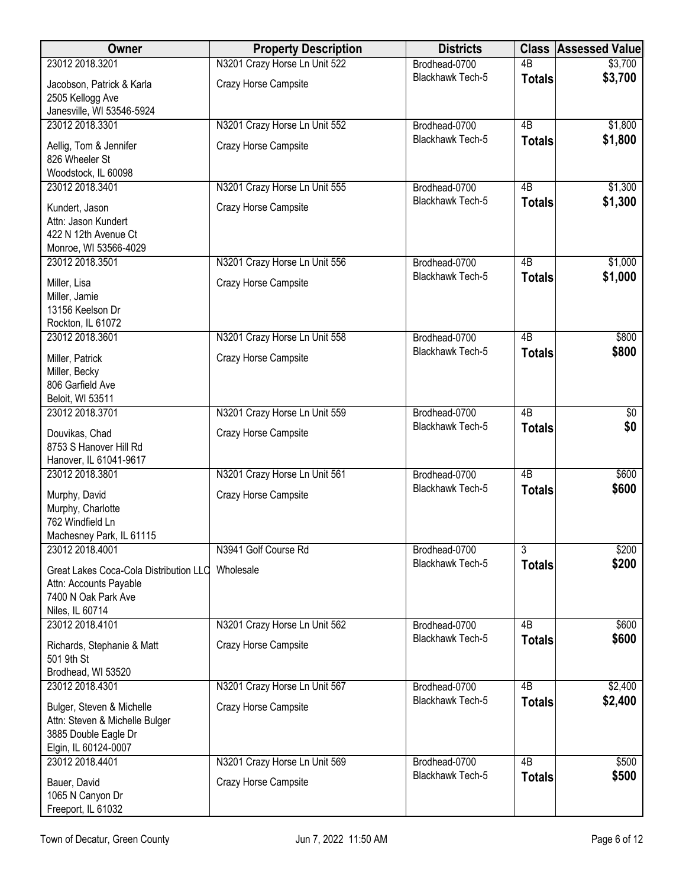| Owner                                                                                                       | <b>Property Description</b>   | <b>Districts</b>        |                 | <b>Class Assessed Value</b> |
|-------------------------------------------------------------------------------------------------------------|-------------------------------|-------------------------|-----------------|-----------------------------|
| 23012 2018.3201                                                                                             | N3201 Crazy Horse Ln Unit 522 | Brodhead-0700           | $\overline{AB}$ | \$3,700                     |
| Jacobson, Patrick & Karla<br>2505 Kellogg Ave                                                               | Crazy Horse Campsite          | Blackhawk Tech-5        | <b>Totals</b>   | \$3,700                     |
| Janesville, WI 53546-5924<br>23012 2018.3301                                                                | N3201 Crazy Horse Ln Unit 552 | Brodhead-0700           | $\overline{AB}$ | \$1,800                     |
| Aellig, Tom & Jennifer<br>826 Wheeler St<br>Woodstock, IL 60098                                             | Crazy Horse Campsite          | Blackhawk Tech-5        | <b>Totals</b>   | \$1,800                     |
| 23012 2018.3401                                                                                             | N3201 Crazy Horse Ln Unit 555 | Brodhead-0700           | 4B              | \$1,300                     |
| Kundert, Jason<br>Attn: Jason Kundert<br>422 N 12th Avenue Ct<br>Monroe, WI 53566-4029                      | Crazy Horse Campsite          | Blackhawk Tech-5        | <b>Totals</b>   | \$1,300                     |
| 23012 2018.3501                                                                                             | N3201 Crazy Horse Ln Unit 556 | Brodhead-0700           | $\overline{AB}$ | \$1,000                     |
| Miller, Lisa<br>Miller, Jamie<br>13156 Keelson Dr<br>Rockton, IL 61072                                      | Crazy Horse Campsite          | Blackhawk Tech-5        | <b>Totals</b>   | \$1,000                     |
| 23012 2018.3601                                                                                             | N3201 Crazy Horse Ln Unit 558 | Brodhead-0700           | $\overline{AB}$ | \$800                       |
| Miller, Patrick<br>Miller, Becky<br>806 Garfield Ave<br>Beloit, WI 53511                                    | Crazy Horse Campsite          | Blackhawk Tech-5        | <b>Totals</b>   | \$800                       |
| 23012 2018.3701                                                                                             | N3201 Crazy Horse Ln Unit 559 | Brodhead-0700           | $\overline{AB}$ | $\overline{60}$             |
| Douvikas, Chad<br>8753 S Hanover Hill Rd<br>Hanover, IL 61041-9617                                          | Crazy Horse Campsite          | Blackhawk Tech-5        | <b>Totals</b>   | \$0                         |
| 23012 2018.3801                                                                                             | N3201 Crazy Horse Ln Unit 561 | Brodhead-0700           | $\overline{AB}$ | \$600                       |
| Murphy, David<br>Murphy, Charlotte<br>762 Windfield Ln<br>Machesney Park, IL 61115                          | Crazy Horse Campsite          | Blackhawk Tech-5        | <b>Totals</b>   | \$600                       |
| 23012 2018.4001                                                                                             | N3941 Golf Course Rd          | Brodhead-0700           | $\overline{3}$  | \$200                       |
| Great Lakes Coca-Cola Distribution LLC<br>Attn: Accounts Payable<br>7400 N Oak Park Ave<br>Niles, IL 60714  | Wholesale                     | Blackhawk Tech-5        | <b>Totals</b>   | \$200                       |
| 23012 2018.4101                                                                                             | N3201 Crazy Horse Ln Unit 562 | Brodhead-0700           | 4B              | \$600                       |
| Richards, Stephanie & Matt<br>501 9th St<br>Brodhead, WI 53520                                              | Crazy Horse Campsite          | <b>Blackhawk Tech-5</b> | <b>Totals</b>   | \$600                       |
| 23012 2018.4301                                                                                             | N3201 Crazy Horse Ln Unit 567 | Brodhead-0700           | $\overline{AB}$ | \$2,400                     |
| Bulger, Steven & Michelle<br>Attn: Steven & Michelle Bulger<br>3885 Double Eagle Dr<br>Elgin, IL 60124-0007 | Crazy Horse Campsite          | Blackhawk Tech-5        | <b>Totals</b>   | \$2,400                     |
| 23012 2018.4401                                                                                             | N3201 Crazy Horse Ln Unit 569 | Brodhead-0700           | $\overline{AB}$ | \$500                       |
| Bauer, David<br>1065 N Canyon Dr<br>Freeport, IL 61032                                                      | Crazy Horse Campsite          | Blackhawk Tech-5        | <b>Totals</b>   | \$500                       |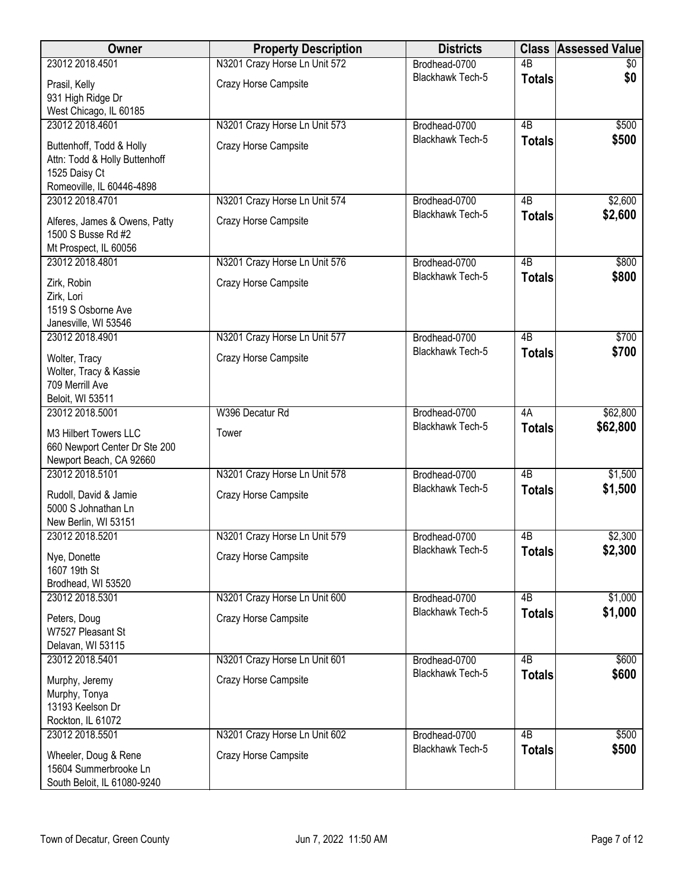| Owner                                        | <b>Property Description</b>   | <b>Districts</b>                  | <b>Class</b>    | <b>Assessed Value</b> |
|----------------------------------------------|-------------------------------|-----------------------------------|-----------------|-----------------------|
| 23012 2018.4501                              | N3201 Crazy Horse Ln Unit 572 | Brodhead-0700                     | $\overline{AB}$ | \$0                   |
| Prasil, Kelly                                | Crazy Horse Campsite          | <b>Blackhawk Tech-5</b>           | <b>Totals</b>   | \$0                   |
| 931 High Ridge Dr                            |                               |                                   |                 |                       |
| West Chicago, IL 60185                       |                               |                                   |                 |                       |
| 23012 2018.4601                              | N3201 Crazy Horse Ln Unit 573 | Brodhead-0700                     | 4B              | \$500                 |
| Buttenhoff, Todd & Holly                     | Crazy Horse Campsite          | Blackhawk Tech-5                  | <b>Totals</b>   | \$500                 |
| Attn: Todd & Holly Buttenhoff                |                               |                                   |                 |                       |
| 1525 Daisy Ct                                |                               |                                   |                 |                       |
| Romeoville, IL 60446-4898<br>23012 2018.4701 | N3201 Crazy Horse Ln Unit 574 | Brodhead-0700                     | 4 <sub>B</sub>  | \$2,600               |
|                                              |                               | <b>Blackhawk Tech-5</b>           | <b>Totals</b>   | \$2,600               |
| Alferes, James & Owens, Patty                | Crazy Horse Campsite          |                                   |                 |                       |
| 1500 S Busse Rd #2                           |                               |                                   |                 |                       |
| Mt Prospect, IL 60056<br>23012 2018.4801     | N3201 Crazy Horse Ln Unit 576 | Brodhead-0700                     | $\overline{AB}$ | \$800                 |
|                                              |                               | <b>Blackhawk Tech-5</b>           | <b>Totals</b>   | \$800                 |
| Zirk, Robin                                  | Crazy Horse Campsite          |                                   |                 |                       |
| Zirk, Lori<br>1519 S Osborne Ave             |                               |                                   |                 |                       |
| Janesville, WI 53546                         |                               |                                   |                 |                       |
| 23012 2018.4901                              | N3201 Crazy Horse Ln Unit 577 | Brodhead-0700                     | $\overline{AB}$ | \$700                 |
| Wolter, Tracy                                | Crazy Horse Campsite          | Blackhawk Tech-5                  | <b>Totals</b>   | \$700                 |
| Wolter, Tracy & Kassie                       |                               |                                   |                 |                       |
| 709 Merrill Ave                              |                               |                                   |                 |                       |
| Beloit, WI 53511                             |                               |                                   |                 |                       |
| 23012 2018.5001                              | W396 Decatur Rd               | Brodhead-0700                     | 4A              | \$62,800              |
| M3 Hilbert Towers LLC                        | Tower                         | Blackhawk Tech-5                  | <b>Totals</b>   | \$62,800              |
| 660 Newport Center Dr Ste 200                |                               |                                   |                 |                       |
| Newport Beach, CA 92660                      |                               |                                   |                 |                       |
| 23012 2018.5101                              | N3201 Crazy Horse Ln Unit 578 | Brodhead-0700                     | $\overline{AB}$ | \$1,500               |
| Rudoll, David & Jamie                        | Crazy Horse Campsite          | <b>Blackhawk Tech-5</b>           | <b>Totals</b>   | \$1,500               |
| 5000 S Johnathan Ln                          |                               |                                   |                 |                       |
| New Berlin, WI 53151                         |                               |                                   |                 |                       |
| 23012 2018.5201                              | N3201 Crazy Horse Ln Unit 579 | Brodhead-0700                     | 4 <sub>B</sub>  | \$2,300               |
| Nye, Donette                                 | Crazy Horse Campsite          | Blackhawk Tech-5                  | <b>Totals</b>   | \$2,300               |
| 1607 19th St                                 |                               |                                   |                 |                       |
| Brodhead, WI 53520<br>23012 2018.5301        |                               |                                   | 4B              |                       |
|                                              | N3201 Crazy Horse Ln Unit 600 | Brodhead-0700<br>Blackhawk Tech-5 | <b>Totals</b>   | \$1,000<br>\$1,000    |
| Peters, Doug                                 | Crazy Horse Campsite          |                                   |                 |                       |
| W7527 Pleasant St                            |                               |                                   |                 |                       |
| Delavan, WI 53115<br>23012 2018.5401         | N3201 Crazy Horse Ln Unit 601 | Brodhead-0700                     | 4B              | \$600                 |
|                                              |                               | Blackhawk Tech-5                  | <b>Totals</b>   | \$600                 |
| Murphy, Jeremy                               | Crazy Horse Campsite          |                                   |                 |                       |
| Murphy, Tonya<br>13193 Keelson Dr            |                               |                                   |                 |                       |
| Rockton, IL 61072                            |                               |                                   |                 |                       |
| 23012 2018.5501                              | N3201 Crazy Horse Ln Unit 602 | Brodhead-0700                     | 4B              | \$500                 |
| Wheeler, Doug & Rene                         | Crazy Horse Campsite          | Blackhawk Tech-5                  | <b>Totals</b>   | \$500                 |
| 15604 Summerbrooke Ln                        |                               |                                   |                 |                       |
| South Beloit, IL 61080-9240                  |                               |                                   |                 |                       |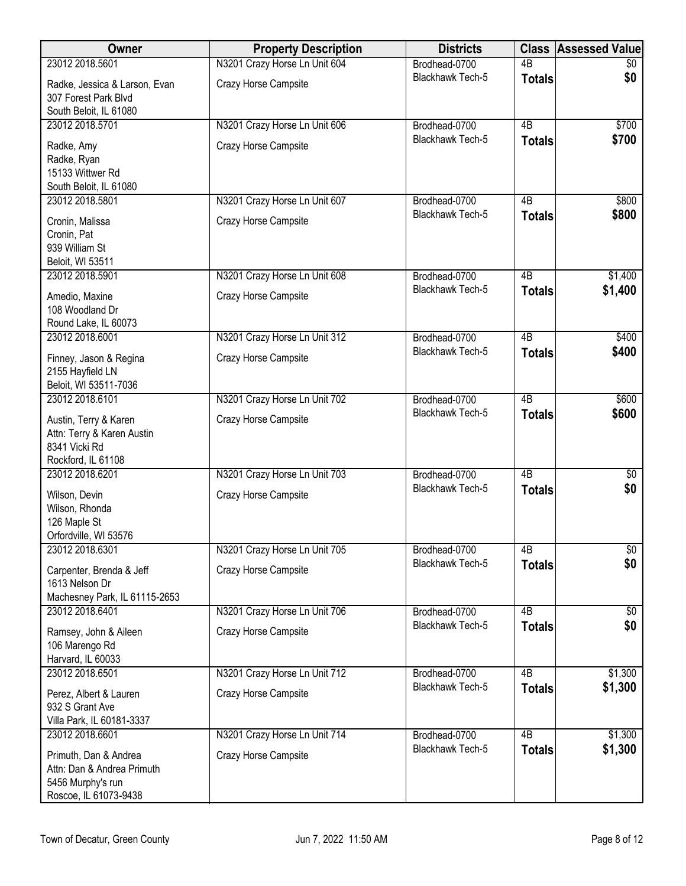| Owner                                                 | <b>Property Description</b>   | <b>Districts</b>                  | <b>Class</b>    | <b>Assessed Value</b> |
|-------------------------------------------------------|-------------------------------|-----------------------------------|-----------------|-----------------------|
| 23012 2018.5601                                       | N3201 Crazy Horse Ln Unit 604 | Brodhead-0700                     | $\overline{AB}$ | \$0                   |
| Radke, Jessica & Larson, Evan<br>307 Forest Park Blvd | Crazy Horse Campsite          | <b>Blackhawk Tech-5</b>           | <b>Totals</b>   | \$0                   |
| South Beloit, IL 61080                                |                               |                                   |                 |                       |
| 23012 2018.5701                                       | N3201 Crazy Horse Ln Unit 606 | Brodhead-0700                     | $\overline{AB}$ | \$700                 |
| Radke, Amy                                            | Crazy Horse Campsite          | Blackhawk Tech-5                  | <b>Totals</b>   | \$700                 |
| Radke, Ryan                                           |                               |                                   |                 |                       |
| 15133 Wittwer Rd<br>South Beloit, IL 61080            |                               |                                   |                 |                       |
| 23012 2018.5801                                       | N3201 Crazy Horse Ln Unit 607 | Brodhead-0700                     | 4B              | \$800                 |
|                                                       | Crazy Horse Campsite          | Blackhawk Tech-5                  | <b>Totals</b>   | \$800                 |
| Cronin, Malissa<br>Cronin, Pat                        |                               |                                   |                 |                       |
| 939 William St                                        |                               |                                   |                 |                       |
| Beloit, WI 53511                                      |                               |                                   |                 |                       |
| 23012 2018.5901                                       | N3201 Crazy Horse Ln Unit 608 | Brodhead-0700                     | 4B              | \$1,400               |
| Amedio, Maxine                                        | Crazy Horse Campsite          | Blackhawk Tech-5                  | <b>Totals</b>   | \$1,400               |
| 108 Woodland Dr                                       |                               |                                   |                 |                       |
| Round Lake, IL 60073                                  |                               |                                   |                 |                       |
| 23012 2018.6001                                       | N3201 Crazy Horse Ln Unit 312 | Brodhead-0700                     | $\overline{AB}$ | \$400                 |
| Finney, Jason & Regina<br>2155 Hayfield LN            | Crazy Horse Campsite          | Blackhawk Tech-5                  | <b>Totals</b>   | \$400                 |
| Beloit, WI 53511-7036                                 |                               |                                   |                 |                       |
| 23012 2018.6101                                       | N3201 Crazy Horse Ln Unit 702 | Brodhead-0700                     | 4B              | \$600                 |
| Austin, Terry & Karen<br>Attn: Terry & Karen Austin   | Crazy Horse Campsite          | Blackhawk Tech-5                  | <b>Totals</b>   | \$600                 |
| 8341 Vicki Rd                                         |                               |                                   |                 |                       |
| Rockford, IL 61108                                    |                               |                                   |                 |                       |
| 23012 2018.6201                                       | N3201 Crazy Horse Ln Unit 703 | Brodhead-0700                     | $\overline{AB}$ | $\sqrt[6]{}$          |
| Wilson, Devin                                         | Crazy Horse Campsite          | <b>Blackhawk Tech-5</b>           | <b>Totals</b>   | \$0                   |
| Wilson, Rhonda                                        |                               |                                   |                 |                       |
| 126 Maple St                                          |                               |                                   |                 |                       |
| Orfordville, WI 53576<br>23012 2018.6301              | N3201 Crazy Horse Ln Unit 705 | Brodhead-0700                     | 4B              | \$0                   |
|                                                       |                               | Blackhawk Tech-5                  | <b>Totals</b>   | \$0                   |
| Carpenter, Brenda & Jeff<br>1613 Nelson Dr            | Crazy Horse Campsite          |                                   |                 |                       |
| Machesney Park, IL 61115-2653                         |                               |                                   |                 |                       |
| 23012 2018.6401                                       | N3201 Crazy Horse Ln Unit 706 | Brodhead-0700<br>Blackhawk Tech-5 | 4B              | \$0                   |
| Ramsey, John & Aileen                                 | Crazy Horse Campsite          |                                   | <b>Totals</b>   | \$0                   |
| 106 Marengo Rd                                        |                               |                                   |                 |                       |
| Harvard, IL 60033<br>23012 2018.6501                  | N3201 Crazy Horse Ln Unit 712 | Brodhead-0700                     | $\overline{AB}$ | \$1,300               |
|                                                       |                               | Blackhawk Tech-5                  | <b>Totals</b>   | \$1,300               |
| Perez, Albert & Lauren<br>932 S Grant Ave             | Crazy Horse Campsite          |                                   |                 |                       |
| Villa Park, IL 60181-3337                             |                               |                                   |                 |                       |
| 23012 2018.6601                                       | N3201 Crazy Horse Ln Unit 714 | Brodhead-0700                     | $\overline{AB}$ | \$1,300               |
| Primuth, Dan & Andrea                                 | Crazy Horse Campsite          | Blackhawk Tech-5                  | <b>Totals</b>   | \$1,300               |
| Attn: Dan & Andrea Primuth                            |                               |                                   |                 |                       |
| 5456 Murphy's run                                     |                               |                                   |                 |                       |
| Roscoe, IL 61073-9438                                 |                               |                                   |                 |                       |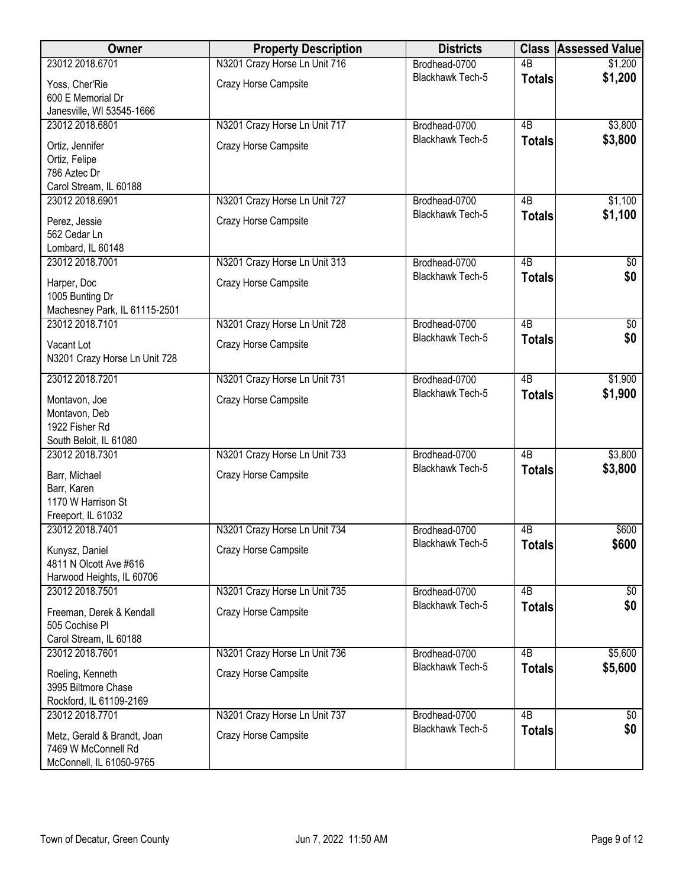| Owner                                            | <b>Property Description</b>   | <b>Districts</b> | <b>Class</b>    | <b>Assessed Value</b> |
|--------------------------------------------------|-------------------------------|------------------|-----------------|-----------------------|
| 23012 2018.6701                                  | N3201 Crazy Horse Ln Unit 716 | Brodhead-0700    | $\overline{AB}$ | \$1,200               |
| Yoss, Cher'Rie                                   | Crazy Horse Campsite          | Blackhawk Tech-5 | <b>Totals</b>   | \$1,200               |
| 600 E Memorial Dr                                |                               |                  |                 |                       |
| Janesville, WI 53545-1666<br>23012 2018.6801     | N3201 Crazy Horse Ln Unit 717 | Brodhead-0700    | $\overline{AB}$ | \$3,800               |
|                                                  |                               | Blackhawk Tech-5 | <b>Totals</b>   | \$3,800               |
| Ortiz, Jennifer<br>Ortiz, Felipe                 | Crazy Horse Campsite          |                  |                 |                       |
| 786 Aztec Dr                                     |                               |                  |                 |                       |
| Carol Stream, IL 60188                           |                               |                  |                 |                       |
| 23012 2018.6901                                  | N3201 Crazy Horse Ln Unit 727 | Brodhead-0700    | 4B              | \$1,100               |
| Perez, Jessie                                    | Crazy Horse Campsite          | Blackhawk Tech-5 | <b>Totals</b>   | \$1,100               |
| 562 Cedar Ln                                     |                               |                  |                 |                       |
| Lombard, IL 60148                                |                               |                  |                 |                       |
| 23012 2018.7001                                  | N3201 Crazy Horse Ln Unit 313 | Brodhead-0700    | 4B              | \$0                   |
| Harper, Doc                                      | Crazy Horse Campsite          | Blackhawk Tech-5 | <b>Totals</b>   | \$0                   |
| 1005 Bunting Dr                                  |                               |                  |                 |                       |
| Machesney Park, IL 61115-2501<br>23012 2018.7101 | N3201 Crazy Horse Ln Unit 728 | Brodhead-0700    | $\overline{AB}$ | $\sqrt[6]{30}$        |
|                                                  |                               | Blackhawk Tech-5 | <b>Totals</b>   | \$0                   |
| Vacant Lot                                       | Crazy Horse Campsite          |                  |                 |                       |
| N3201 Crazy Horse Ln Unit 728                    |                               |                  |                 |                       |
| 23012 2018.7201                                  | N3201 Crazy Horse Ln Unit 731 | Brodhead-0700    | $\overline{AB}$ | \$1,900               |
| Montavon, Joe                                    | Crazy Horse Campsite          | Blackhawk Tech-5 | <b>Totals</b>   | \$1,900               |
| Montavon, Deb                                    |                               |                  |                 |                       |
| 1922 Fisher Rd                                   |                               |                  |                 |                       |
| South Beloit, IL 61080<br>23012 2018.7301        | N3201 Crazy Horse Ln Unit 733 | Brodhead-0700    | 4B              | \$3,800               |
|                                                  |                               | Blackhawk Tech-5 | <b>Totals</b>   | \$3,800               |
| Barr, Michael<br>Barr, Karen                     | Crazy Horse Campsite          |                  |                 |                       |
| 1170 W Harrison St                               |                               |                  |                 |                       |
| Freeport, IL 61032                               |                               |                  |                 |                       |
| 23012 2018.7401                                  | N3201 Crazy Horse Ln Unit 734 | Brodhead-0700    | 4B              | \$600                 |
| Kunysz, Daniel                                   | Crazy Horse Campsite          | Blackhawk Tech-5 | Totals          | \$600                 |
| 4811 N Olcott Ave #616                           |                               |                  |                 |                       |
| Harwood Heights, IL 60706<br>23012 2018.7501     | N3201 Crazy Horse Ln Unit 735 | Brodhead-0700    | 4B              | $\sqrt[6]{}$          |
|                                                  |                               | Blackhawk Tech-5 | <b>Totals</b>   | \$0                   |
| Freeman, Derek & Kendall<br>505 Cochise PI       | Crazy Horse Campsite          |                  |                 |                       |
| Carol Stream, IL 60188                           |                               |                  |                 |                       |
| 23012 2018.7601                                  | N3201 Crazy Horse Ln Unit 736 | Brodhead-0700    | $\overline{AB}$ | \$5,600               |
| Roeling, Kenneth                                 | Crazy Horse Campsite          | Blackhawk Tech-5 | <b>Totals</b>   | \$5,600               |
| 3995 Biltmore Chase                              |                               |                  |                 |                       |
| Rockford, IL 61109-2169                          |                               |                  |                 |                       |
| 23012 2018.7701                                  | N3201 Crazy Horse Ln Unit 737 | Brodhead-0700    | $\overline{AB}$ | \$0                   |
| Metz, Gerald & Brandt, Joan                      | Crazy Horse Campsite          | Blackhawk Tech-5 | <b>Totals</b>   | \$0                   |
| 7469 W McConnell Rd                              |                               |                  |                 |                       |
| McConnell, IL 61050-9765                         |                               |                  |                 |                       |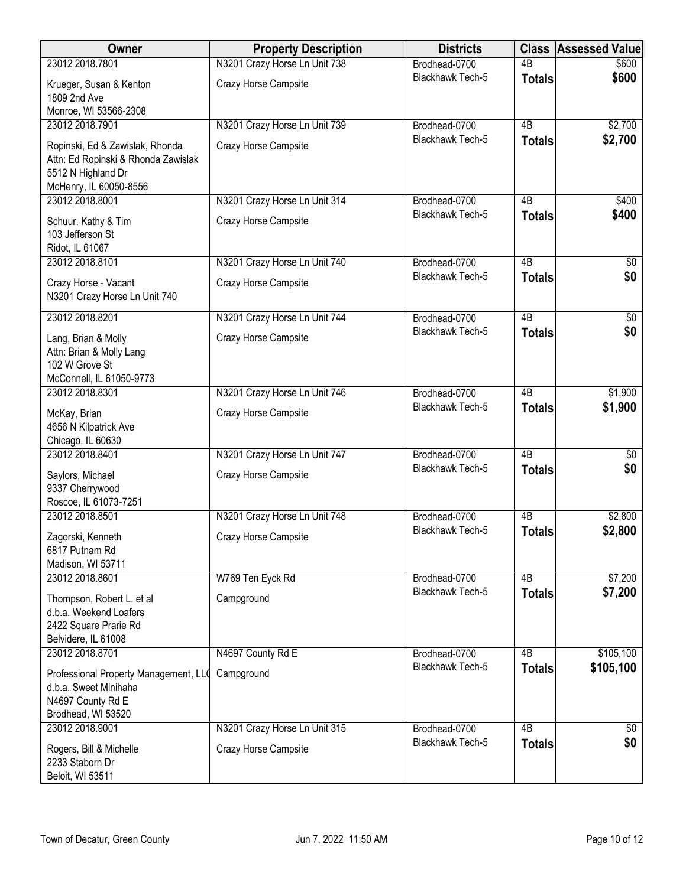| Owner                                                                                                                  | <b>Property Description</b>                           | <b>Districts</b>                  |                                  | <b>Class Assessed Value</b> |
|------------------------------------------------------------------------------------------------------------------------|-------------------------------------------------------|-----------------------------------|----------------------------------|-----------------------------|
| 23012 2018.7801                                                                                                        | N3201 Crazy Horse Ln Unit 738                         | Brodhead-0700                     | $\overline{AB}$                  | \$600                       |
| Krueger, Susan & Kenton<br>1809 2nd Ave                                                                                | Crazy Horse Campsite                                  | Blackhawk Tech-5                  | <b>Totals</b>                    | \$600                       |
| Monroe, WI 53566-2308                                                                                                  |                                                       |                                   |                                  |                             |
| 23012 2018.7901                                                                                                        | N3201 Crazy Horse Ln Unit 739                         | Brodhead-0700                     | $\overline{AB}$                  | \$2,700                     |
| Ropinski, Ed & Zawislak, Rhonda<br>Attn: Ed Ropinski & Rhonda Zawislak<br>5512 N Highland Dr<br>McHenry, IL 60050-8556 | Crazy Horse Campsite                                  | Blackhawk Tech-5                  | <b>Totals</b>                    | \$2,700                     |
| 23012 2018.8001                                                                                                        | N3201 Crazy Horse Ln Unit 314                         | Brodhead-0700                     | 4B                               | \$400                       |
| Schuur, Kathy & Tim<br>103 Jefferson St<br>Ridot, IL 61067                                                             | Crazy Horse Campsite                                  | Blackhawk Tech-5                  | <b>Totals</b>                    | \$400                       |
| 23012 2018.8101                                                                                                        | N3201 Crazy Horse Ln Unit 740                         | Brodhead-0700                     | 4B                               | \$0                         |
| Crazy Horse - Vacant<br>N3201 Crazy Horse Ln Unit 740                                                                  | Crazy Horse Campsite                                  | Blackhawk Tech-5                  | <b>Totals</b>                    | \$0                         |
| 23012 2018.8201                                                                                                        | N3201 Crazy Horse Ln Unit 744                         | Brodhead-0700                     | $\overline{AB}$                  | \$0                         |
| Lang, Brian & Molly<br>Attn: Brian & Molly Lang<br>102 W Grove St                                                      | Crazy Horse Campsite                                  | Blackhawk Tech-5                  | <b>Totals</b>                    | \$0                         |
| McConnell, IL 61050-9773                                                                                               |                                                       |                                   |                                  |                             |
| 23012 2018.8301<br>McKay, Brian<br>4656 N Kilpatrick Ave<br>Chicago, IL 60630                                          | N3201 Crazy Horse Ln Unit 746<br>Crazy Horse Campsite | Brodhead-0700<br>Blackhawk Tech-5 | $\overline{AB}$<br><b>Totals</b> | \$1,900<br>\$1,900          |
| 23012 2018.8401                                                                                                        | N3201 Crazy Horse Ln Unit 747                         | Brodhead-0700                     | 4B                               | $\overline{50}$             |
| Saylors, Michael<br>9337 Cherrywood<br>Roscoe, IL 61073-7251                                                           | Crazy Horse Campsite                                  | Blackhawk Tech-5                  | <b>Totals</b>                    | \$0                         |
| 23012 2018.8501                                                                                                        | N3201 Crazy Horse Ln Unit 748                         | Brodhead-0700                     | 4B                               | \$2,800                     |
| Zagorski, Kenneth<br>6817 Putnam Rd<br>Madison, WI 53711                                                               | Crazy Horse Campsite                                  | <b>Blackhawk Tech-5</b>           | <b>Totals</b>                    | \$2,800                     |
| 23012 2018.8601                                                                                                        | W769 Ten Eyck Rd                                      | Brodhead-0700                     | 4B                               | \$7,200                     |
| Thompson, Robert L. et al<br>d.b.a. Weekend Loafers<br>2422 Square Prarie Rd<br>Belvidere, IL 61008                    | Campground                                            | Blackhawk Tech-5                  | <b>Totals</b>                    | \$7,200                     |
| 23012 2018.8701                                                                                                        | N4697 County Rd E                                     | Brodhead-0700                     | 4B                               | \$105,100                   |
| Professional Property Management, LLO<br>d.b.a. Sweet Minihaha<br>N4697 County Rd E<br>Brodhead, WI 53520              | Campground                                            | Blackhawk Tech-5                  | <b>Totals</b>                    | \$105,100                   |
| 23012 2018.9001                                                                                                        | N3201 Crazy Horse Ln Unit 315                         | Brodhead-0700                     | $\overline{AB}$                  | \$0                         |
| Rogers, Bill & Michelle<br>2233 Staborn Dr<br>Beloit, WI 53511                                                         | Crazy Horse Campsite                                  | Blackhawk Tech-5                  | <b>Totals</b>                    | \$0                         |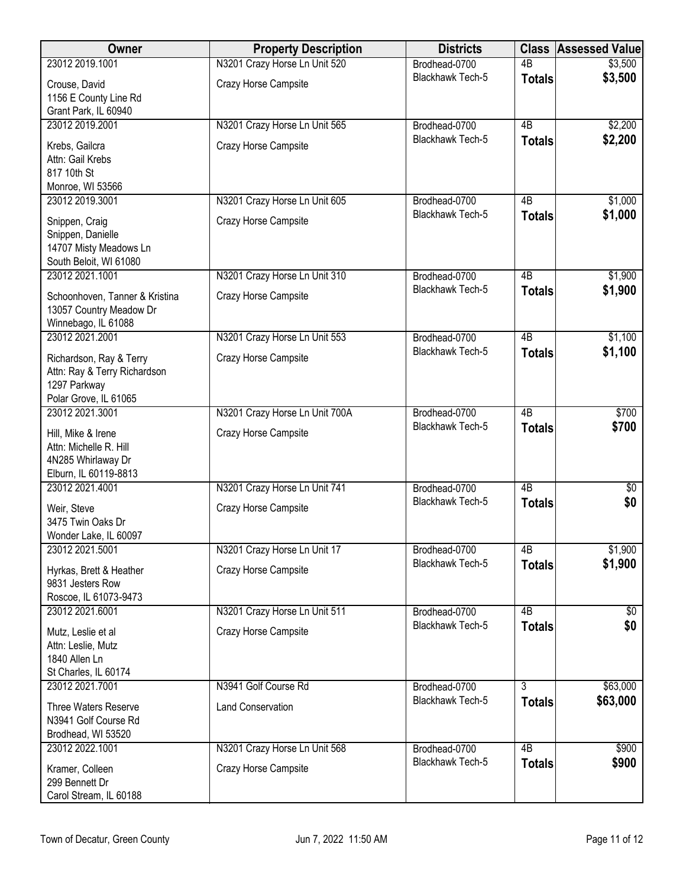| Owner                                                                                            | <b>Property Description</b>    | <b>Districts</b>        | <b>Class</b>    | <b>Assessed Value</b> |
|--------------------------------------------------------------------------------------------------|--------------------------------|-------------------------|-----------------|-----------------------|
| 23012 2019.1001                                                                                  | N3201 Crazy Horse Ln Unit 520  | Brodhead-0700           | $\overline{AB}$ | \$3,500               |
| Crouse, David<br>1156 E County Line Rd                                                           | Crazy Horse Campsite           | <b>Blackhawk Tech-5</b> | <b>Totals</b>   | \$3,500               |
| Grant Park, IL 60940<br>23012 2019.2001                                                          | N3201 Crazy Horse Ln Unit 565  | Brodhead-0700           | $\overline{AB}$ | \$2,200               |
| Krebs, Gailcra<br>Attn: Gail Krebs<br>817 10th St<br>Monroe, WI 53566                            | Crazy Horse Campsite           | Blackhawk Tech-5        | <b>Totals</b>   | \$2,200               |
| 23012 2019.3001                                                                                  | N3201 Crazy Horse Ln Unit 605  | Brodhead-0700           | 4B              | \$1,000               |
| Snippen, Craig<br>Snippen, Danielle<br>14707 Misty Meadows Ln<br>South Beloit, WI 61080          | Crazy Horse Campsite           | Blackhawk Tech-5        | <b>Totals</b>   | \$1,000               |
| 23012 2021.1001                                                                                  | N3201 Crazy Horse Ln Unit 310  | Brodhead-0700           | 4B              | \$1,900               |
| Schoonhoven, Tanner & Kristina<br>13057 Country Meadow Dr<br>Winnebago, IL 61088                 | Crazy Horse Campsite           | Blackhawk Tech-5        | <b>Totals</b>   | \$1,900               |
| 23012 2021.2001                                                                                  | N3201 Crazy Horse Ln Unit 553  | Brodhead-0700           | $\overline{AB}$ | \$1,100               |
| Richardson, Ray & Terry<br>Attn: Ray & Terry Richardson<br>1297 Parkway<br>Polar Grove, IL 61065 | Crazy Horse Campsite           | Blackhawk Tech-5        | <b>Totals</b>   | \$1,100               |
| 23012 2021.3001                                                                                  | N3201 Crazy Horse Ln Unit 700A | Brodhead-0700           | 4B              | \$700                 |
| Hill, Mike & Irene<br>Attn: Michelle R. Hill<br>4N285 Whirlaway Dr<br>Elburn, IL 60119-8813      | Crazy Horse Campsite           | Blackhawk Tech-5        | <b>Totals</b>   | \$700                 |
| 23012 2021.4001                                                                                  | N3201 Crazy Horse Ln Unit 741  | Brodhead-0700           | $\overline{AB}$ | \$0                   |
| Weir, Steve<br>3475 Twin Oaks Dr<br>Wonder Lake, IL 60097                                        | Crazy Horse Campsite           | Blackhawk Tech-5        | <b>Totals</b>   | \$0                   |
| 23012 2021.5001                                                                                  | N3201 Crazy Horse Ln Unit 17   | Brodhead-0700           | 4B              | \$1,900               |
| Hyrkas, Brett & Heather<br>9831 Jesters Row<br>Roscoe, IL 61073-9473                             | Crazy Horse Campsite           | Blackhawk Tech-5        | <b>Totals</b>   | \$1,900               |
| 23012 2021.6001                                                                                  | N3201 Crazy Horse Ln Unit 511  | Brodhead-0700           | 4B              | \$0                   |
| Mutz, Leslie et al<br>Attn: Leslie, Mutz<br>1840 Allen Ln<br>St Charles, IL 60174                | Crazy Horse Campsite           | Blackhawk Tech-5        | <b>Totals</b>   | \$0                   |
| 23012 2021.7001                                                                                  | N3941 Golf Course Rd           | Brodhead-0700           | 3               | \$63,000              |
| Three Waters Reserve<br>N3941 Golf Course Rd<br>Brodhead, WI 53520                               | <b>Land Conservation</b>       | Blackhawk Tech-5        | <b>Totals</b>   | \$63,000              |
| 23012 2022.1001                                                                                  | N3201 Crazy Horse Ln Unit 568  | Brodhead-0700           | $\overline{AB}$ | \$900                 |
| Kramer, Colleen<br>299 Bennett Dr<br>Carol Stream, IL 60188                                      | Crazy Horse Campsite           | Blackhawk Tech-5        | <b>Totals</b>   | \$900                 |